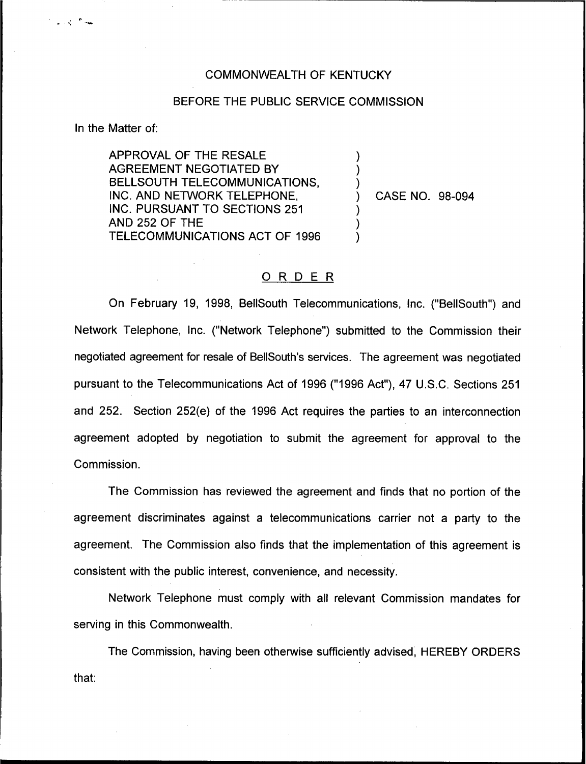## COMMONWEALTH OF KENTUCKY

## BEFORE THE PUBLIC SERVICE COMMISSION

) ) )<br>)

> ) ) )

In the Matter of:

ఎంటర్ల

APPROVAL OF THE RESALE AGREEMENT NEGOTIATED BY BELLSOUTH TELECOMMUNICATIONS, INC. AND NETWORK TELEPHONE, INC. PURSUANT TO SECTIONS 251 AND 252 OF THE TELECOMMUNICATIONS ACT OF 1996

) CASE NO. 98-094

## ORDER

On February 19, 1998, BellSouth Telecommunications, Inc. ("BellSouth") and Network Telephone, Inc. ("Network Telephone") submitted to the Commission thei negotiated agreement for resale of BellSouth's services. The agreement was negotiated pursuant to the Telecommunications Act of 1996 ("1996Act"), 47 U.S.C. Sections 251 and 252. Section 252(e) of the 1996 Act requires the parties to an interconnection agreement adopted by negotiation to submit the agreement for approval to the Commission.

The Commission has reviewed the agreement and finds that no portion of the agreement discriminates against a telecommunications carrier not a party to the agreement. The Commission also finds that the implementation of this agreement is consistent with the public interest, convenience, and necessity.

Network Telephone must comply with all relevant Commission mandates for serving in this Commonwealth.

The Commission, having been otherwise sufficiently advised, HEREBY ORDERSthat: